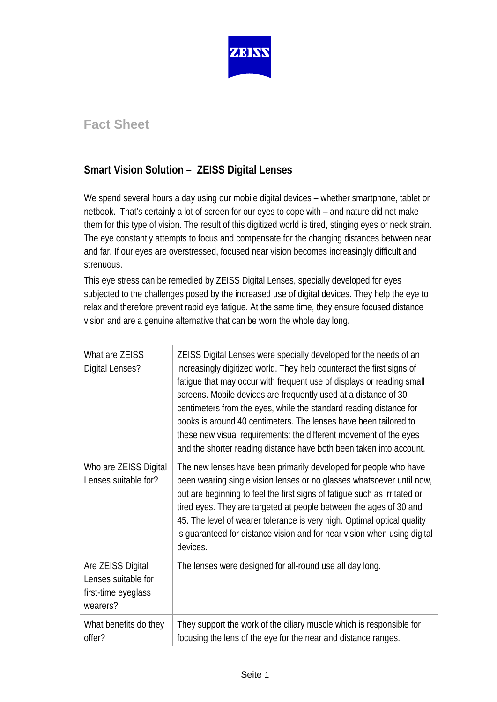

# **Fact Sheet**

# **Smart Vision Solution – ZEISS Digital Lenses**

We spend several hours a day using our mobile digital devices – whether smartphone, tablet or netbook. That's certainly a lot of screen for our eyes to cope with – and nature did not make them for this type of vision. The result of this digitized world is tired, stinging eyes or neck strain. The eye constantly attempts to focus and compensate for the changing distances between near and far. If our eyes are overstressed, focused near vision becomes increasingly difficult and strenuous.

This eye stress can be remedied by ZEISS Digital Lenses, specially developed for eyes subjected to the challenges posed by the increased use of digital devices. They help the eye to relax and therefore prevent rapid eye fatigue. At the same time, they ensure focused distance vision and are a genuine alternative that can be worn the whole day long.

| What are ZEISS<br>Digital Lenses?                                           | ZEISS Digital Lenses were specially developed for the needs of an<br>increasingly digitized world. They help counteract the first signs of<br>fatigue that may occur with frequent use of displays or reading small<br>screens. Mobile devices are frequently used at a distance of 30<br>centimeters from the eyes, while the standard reading distance for<br>books is around 40 centimeters. The lenses have been tailored to<br>these new visual requirements: the different movement of the eyes<br>and the shorter reading distance have both been taken into account. |
|-----------------------------------------------------------------------------|------------------------------------------------------------------------------------------------------------------------------------------------------------------------------------------------------------------------------------------------------------------------------------------------------------------------------------------------------------------------------------------------------------------------------------------------------------------------------------------------------------------------------------------------------------------------------|
| Who are ZEISS Digital<br>Lenses suitable for?                               | The new lenses have been primarily developed for people who have<br>been wearing single vision lenses or no glasses whatsoever until now,<br>but are beginning to feel the first signs of fatigue such as irritated or<br>tired eyes. They are targeted at people between the ages of 30 and<br>45. The level of wearer tolerance is very high. Optimal optical quality<br>is guaranteed for distance vision and for near vision when using digital<br>devices.                                                                                                              |
| Are ZEISS Digital<br>Lenses suitable for<br>first-time eyeglass<br>wearers? | The lenses were designed for all-round use all day long.                                                                                                                                                                                                                                                                                                                                                                                                                                                                                                                     |
| What benefits do they<br>offer?                                             | They support the work of the ciliary muscle which is responsible for<br>focusing the lens of the eye for the near and distance ranges.                                                                                                                                                                                                                                                                                                                                                                                                                                       |